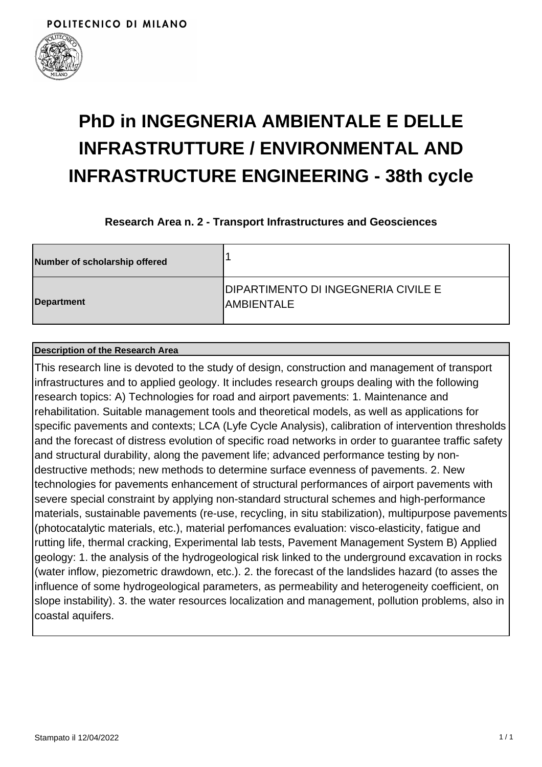

## **PhD in INGEGNERIA AMBIENTALE E DELLE INFRASTRUTTURE / ENVIRONMENTAL AND INFRASTRUCTURE ENGINEERING - 38th cycle**

**Research Area n. 2 - Transport Infrastructures and Geosciences**

| Number of scholarship offered |                                                                  |
|-------------------------------|------------------------------------------------------------------|
| Department                    | <b>DIPARTIMENTO DI INGEGNERIA CIVILE E</b><br><b>IAMBIENTALE</b> |

## **Description of the Research Area**

This research line is devoted to the study of design, construction and management of transport infrastructures and to applied geology. It includes research groups dealing with the following research topics: A) Technologies for road and airport pavements: 1. Maintenance and rehabilitation. Suitable management tools and theoretical models, as well as applications for specific pavements and contexts; LCA (Lyfe Cycle Analysis), calibration of intervention thresholds and the forecast of distress evolution of specific road networks in order to guarantee traffic safety and structural durability, along the pavement life; advanced performance testing by nondestructive methods; new methods to determine surface evenness of pavements. 2. New technologies for pavements enhancement of structural performances of airport pavements with severe special constraint by applying non-standard structural schemes and high-performance materials, sustainable pavements (re-use, recycling, in situ stabilization), multipurpose pavements (photocatalytic materials, etc.), material perfomances evaluation: visco-elasticity, fatigue and rutting life, thermal cracking, Experimental lab tests, Pavement Management System B) Applied geology: 1. the analysis of the hydrogeological risk linked to the underground excavation in rocks (water inflow, piezometric drawdown, etc.). 2. the forecast of the landslides hazard (to asses the influence of some hydrogeological parameters, as permeability and heterogeneity coefficient, on slope instability). 3. the water resources localization and management, pollution problems, also in coastal aquifers.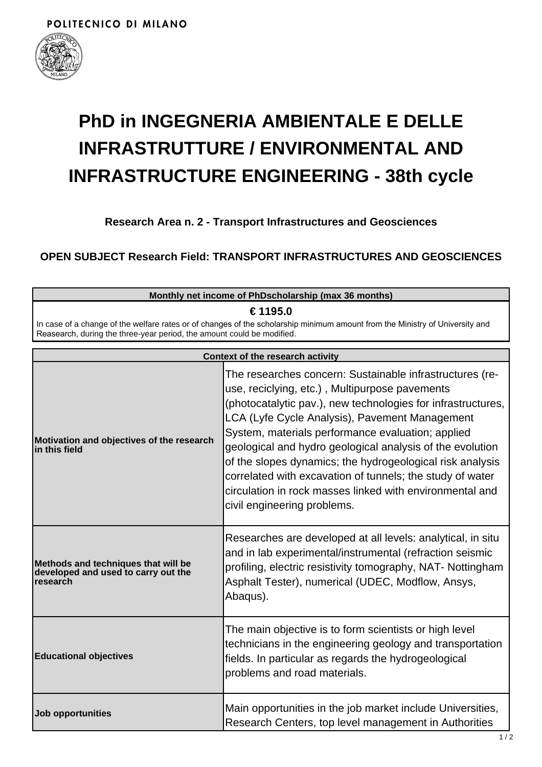

## **PhD in INGEGNERIA AMBIENTALE E DELLE INFRASTRUTTURE / ENVIRONMENTAL AND INFRASTRUCTURE ENGINEERING - 38th cycle**

**Research Area n. 2 - Transport Infrastructures and Geosciences**

**OPEN SUBJECT Research Field: TRANSPORT INFRASTRUCTURES AND GEOSCIENCES**

| Monthly net income of PhDscholarship (max 36 months)<br>€ 1195.0<br>In case of a change of the welfare rates or of changes of the scholarship minimum amount from the Ministry of University and<br>Reasearch, during the three-year period, the amount could be modified.<br><b>Context of the research activity</b> |                                                                                                                                                                             |  |                                                                                        |                                                                                                                                                                                                                                                                                                                                                                                                                                                                                                                                                                     |
|-----------------------------------------------------------------------------------------------------------------------------------------------------------------------------------------------------------------------------------------------------------------------------------------------------------------------|-----------------------------------------------------------------------------------------------------------------------------------------------------------------------------|--|----------------------------------------------------------------------------------------|---------------------------------------------------------------------------------------------------------------------------------------------------------------------------------------------------------------------------------------------------------------------------------------------------------------------------------------------------------------------------------------------------------------------------------------------------------------------------------------------------------------------------------------------------------------------|
|                                                                                                                                                                                                                                                                                                                       |                                                                                                                                                                             |  | Motivation and objectives of the research<br>lin this field                            | The researches concern: Sustainable infrastructures (re-<br>use, reciclying, etc.), Multipurpose pavements<br>(photocatalytic pav.), new technologies for infrastructures,<br>LCA (Lyfe Cycle Analysis), Pavement Management<br>System, materials performance evaluation; applied<br>geological and hydro geological analysis of the evolution<br>of the slopes dynamics; the hydrogeological risk analysis<br>correlated with excavation of tunnels; the study of water<br>circulation in rock masses linked with environmental and<br>civil engineering problems. |
|                                                                                                                                                                                                                                                                                                                       |                                                                                                                                                                             |  | Methods and techniques that will be<br>developed and used to carry out the<br>research | Researches are developed at all levels: analytical, in situ<br>and in lab experimental/instrumental (refraction seismic<br>profiling, electric resistivity tomography, NAT-Nottingham<br>Asphalt Tester), numerical (UDEC, Modflow, Ansys,<br>Abaqus).                                                                                                                                                                                                                                                                                                              |
| <b>Educational objectives</b>                                                                                                                                                                                                                                                                                         | The main objective is to form scientists or high level<br>technicians in the engineering geology and transportation<br>fields. In particular as regards the hydrogeological |  |                                                                                        |                                                                                                                                                                                                                                                                                                                                                                                                                                                                                                                                                                     |

problems and road materials.